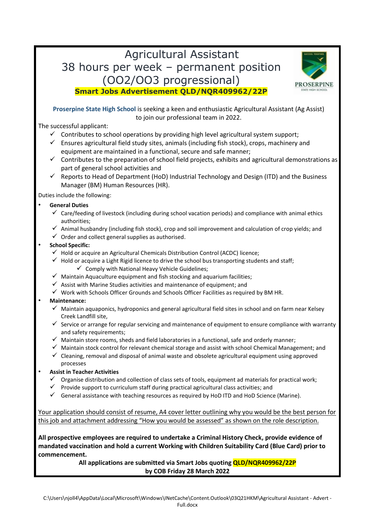# Agricultural Assistant 38 hours per week – permanent position (OO2/OO3 progressional) **Smart Jobs Advertisement QLD/NQR409962/22P**



**Proserpine State High School** is seeking a keen and enthusiastic Agricultural Assistant (Ag Assist)

to join our professional team in 2022.

The successful applicant:

- $\checkmark$  Contributes to school operations by providing high level agricultural system support;
- $\checkmark$  Ensures agricultural field study sites, animals (including fish stock), crops, machinery and equipment are maintained in a functional, secure and safe manner;
- $\checkmark$  Contributes to the preparation of school field projects, exhibits and agricultural demonstrations as part of general school activities and
- ✓ Reports to Head of Department (HoD) Industrial Technology and Design (ITD) and the Business Manager (BM) Human Resources (HR).

Duties include the following:

- **General Duties**
	- $\checkmark$  Care/feeding of livestock (including during school vacation periods) and compliance with animal ethics authorities;
	- $\checkmark$  Animal husbandry (including fish stock), crop and soil improvement and calculation of crop yields; and
	- $\checkmark$  Order and collect general supplies as authorised.

#### • **School Specific:**

- $\checkmark$  Hold or acquire an Agricultural Chemicals Distribution Control (ACDC) licence:
- $\checkmark$  Hold or acquire a Light Rigid licence to drive the school bus transporting students and staff;  $\checkmark$  Comply with National Heavy Vehicle Guidelines;
- $\checkmark$  Maintain Aquaculture equipment and fish stocking and aquarium facilities;
- $\checkmark$  Assist with Marine Studies activities and maintenance of equipment; and
- $\checkmark$  Work with Schools Officer Grounds and Schools Officer Facilities as required by BM HR.

#### • **Maintenance:**

- $\checkmark$  Maintain aquaponics, hydroponics and general agricultural field sites in school and on farm near Kelsey Creek Landfill site,
- $\checkmark$  Service or arrange for regular servicing and maintenance of equipment to ensure compliance with warranty and safety requirements;
- $\checkmark$  Maintain store rooms, sheds and field laboratories in a functional, safe and orderly manner;
- ✓ Maintain stock control for relevant chemical storage and assist with school Chemical Management; and
- $\checkmark$  Cleaning, removal and disposal of animal waste and obsolete agricultural equipment using approved processes

#### • **Assist in Teacher Activities**

- $\checkmark$  Organise distribution and collection of class sets of tools, equipment ad materials for practical work;
- $\checkmark$  Provide support to curriculum staff during practical agricultural class activities; and
- $\checkmark$  General assistance with teaching resources as required by HoD ITD and HoD Science (Marine).

Your application should consist of resume, A4 cover letter outlining why you would be the best person for this job and attachment addressing "How you would be assessed" as shown on the role description.

**All prospective employees are required to undertake a Criminal History Check, provide evidence of mandated vaccination and hold a current Working with Children Suitability Card (Blue Card) prior to commencement.** 

> **All applications are submitted via Smart Jobs quoting QLD/NQR409962/22P by COB Friday 28 March 2022**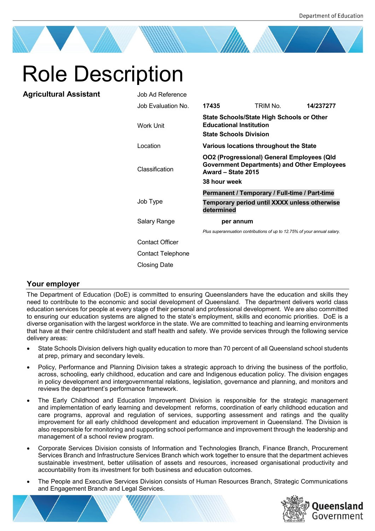# Role Description

**Agricultural Assistant** 

| Job Ad Reference       |                                                                                                                                        |                                                                          |           |
|------------------------|----------------------------------------------------------------------------------------------------------------------------------------|--------------------------------------------------------------------------|-----------|
| Job Evaluation No.     | 17435                                                                                                                                  | TRIM No                                                                  | 14/237277 |
| <b>Work Unit</b>       | State Schools/State High Schools or Other<br><b>Educational Institution</b><br><b>State Schools Division</b>                           |                                                                          |           |
| Location               | Various locations throughout the State                                                                                                 |                                                                          |           |
| Classification         | OO2 (Progressional) General Employees (Qld<br><b>Government Departments) and Other Employees</b><br>Award - State 2015<br>38 hour week |                                                                          |           |
|                        | Permanent / Temporary / Full-time / Part-time                                                                                          |                                                                          |           |
| Job Type               | determined                                                                                                                             | Temporary period until XXXX unless otherwise                             |           |
| Salary Range           | per annum                                                                                                                              |                                                                          |           |
|                        |                                                                                                                                        | Plus superannuation contributions of up to 12.75% of your annual salary. |           |
| <b>Contact Officer</b> |                                                                                                                                        |                                                                          |           |
| Contact Telephone      |                                                                                                                                        |                                                                          |           |
| Closing Date           |                                                                                                                                        |                                                                          |           |

## **Your employer**

The Department of Education (DoE) is committed to ensuring Queenslanders have the education and skills they need to contribute to the economic and social development of Queensland. The department delivers world class education services for people at every stage of their personal and professional development. We are also committed to ensuring our education systems are aligned to the state's employment, skills and economic priorities. DoE is a diverse organisation with the largest workforce in the state. We are committed to teaching and learning environments that have at their centre child/student and staff health and safety. We provide services through the following service delivery areas:

- State Schools Division delivers high quality education to more than 70 percent of all Queensland school students at prep, primary and secondary levels.
- Policy, Performance and Planning Division takes a strategic approach to driving the business of the portfolio, across, schooling, early childhood, education and care and Indigenous education policy. The division engages in policy development and intergovernmental relations, legislation, governance and planning, and monitors and reviews the department's performance framework.
- The Early Childhood and Education Improvement Division is responsible for the strategic management and implementation of early learning and development reforms, coordination of early childhood education and care programs, approval and regulation of services, supporting assessment and ratings and the quality improvement for all early childhood development and education improvement in Queensland. The Division is also responsible for monitoring and supporting school performance and improvement through the leadership and management of a school review program.
- Corporate Services Division consists of Information and Technologies Branch, Finance Branch, Procurement Services Branch and Infrastructure Services Branch which work together to ensure that the department achieves sustainable investment, better utilisation of assets and resources, increased organisational productivity and accountability from its investment for both business and education outcomes.
- The People and Executive Services Division consists of Human Resources Branch, Strategic Communications and Engagement Branch and Legal Services.

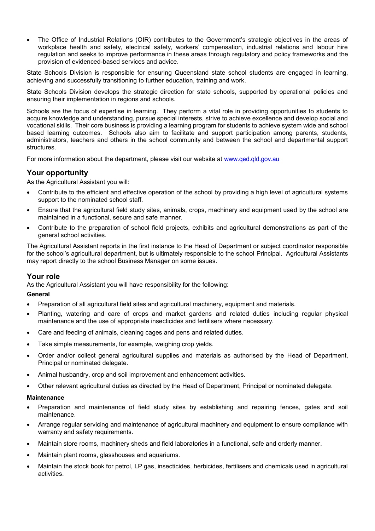• The Office of Industrial Relations (OIR) contributes to the Government's strategic objectives in the areas of workplace health and safety, electrical safety, workers' compensation, industrial relations and labour hire regulation and seeks to improve performance in these areas through regulatory and policy frameworks and the provision of evidenced-based services and advice.

State Schools Division is responsible for ensuring Queensland state school students are engaged in learning, achieving and successfully transitioning to further education, training and work.

State Schools Division develops the strategic direction for state schools, supported by operational policies and ensuring their implementation in regions and schools.

Schools are the focus of expertise in learning. They perform a vital role in providing opportunities to students to acquire knowledge and understanding, pursue special interests, strive to achieve excellence and develop social and vocational skills. Their core business is providing a learning program for students to achieve system wide and school based learning outcomes. Schools also aim to facilitate and support participation among parents, students, administrators, teachers and others in the school community and between the school and departmental support structures.

For more information about the department, please visit our website at [www.qed.qld.gov.au](http://www.qed.qld.gov.au/)

#### **Your opportunity**

As the Agricultural Assistant you will:

- Contribute to the efficient and effective operation of the school by providing a high level of agricultural systems support to the nominated school staff.
- Ensure that the agricultural field study sites, animals, crops, machinery and equipment used by the school are maintained in a functional, secure and safe manner.
- Contribute to the preparation of school field projects, exhibits and agricultural demonstrations as part of the general school activities.

The Agricultural Assistant reports in the first instance to the Head of Department or subject coordinator responsible for the school's agricultural department, but is ultimately responsible to the school Principal. Agricultural Assistants may report directly to the school Business Manager on some issues.

#### **Your role**

As the Agricultural Assistant you will have responsibility for the following:

#### **General**

- Preparation of all agricultural field sites and agricultural machinery, equipment and materials.
- Planting, watering and care of crops and market gardens and related duties including regular physical maintenance and the use of appropriate insecticides and fertilisers where necessary.
- Care and feeding of animals, cleaning cages and pens and related duties.
- Take simple measurements, for example, weighing crop yields.
- Order and/or collect general agricultural supplies and materials as authorised by the Head of Department, Principal or nominated delegate.
- Animal husbandry, crop and soil improvement and enhancement activities.
- Other relevant agricultural duties as directed by the Head of Department, Principal or nominated delegate.

#### **Maintenance**

- Preparation and maintenance of field study sites by establishing and repairing fences, gates and soil maintenance.
- Arrange regular servicing and maintenance of agricultural machinery and equipment to ensure compliance with warranty and safety requirements.
- Maintain store rooms, machinery sheds and field laboratories in a functional, safe and orderly manner.
- Maintain plant rooms, glasshouses and aquariums.
- Maintain the stock book for petrol, LP gas, insecticides, herbicides, fertilisers and chemicals used in agricultural activities.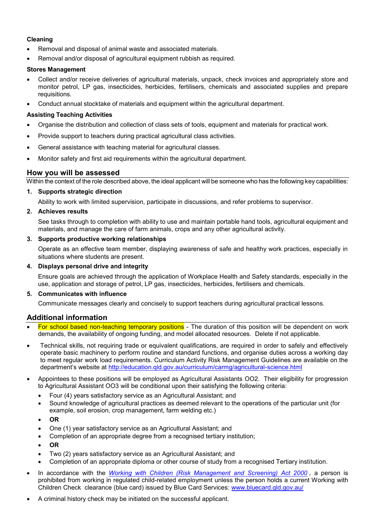#### **Cleaning**

- Removal and disposal of animal waste and associated materials.
- Removal and/or disposal of agricultural equipment rubbish as required.

#### **Stores Management**

- Collect and/or receive deliveries of agricultural materials, unpack, check invoices and appropriately store and monitor petrol, LP gas, insecticides, herbicides, fertilisers, chemicals and associated supplies and prepare requisitions.
- Conduct annual stocktake of materials and equipment within the agricultural department.

#### **Assisting Teaching Activities**

- Organise the distribution and collection of class sets of tools, equipment and materials for practical work.
- Provide support to teachers during practical agricultural class activities.
- General assistance with teaching material for agricultural classes.
- Monitor safety and first aid requirements within the agricultural department.

### **How you will be assessed**

Within the context of the role described above, the ideal applicant will be someone who has the following key capabilities:

#### **1. Supports strategic direction**

Ability to work with limited supervision, participate in discussions, and refer problems to supervisor.

#### **2. Achieves results**

See tasks through to completion with ability to use and maintain portable hand tools, agricultural equipment and materials, and manage the care of farm animals, crops and any other agricultural activity.

#### **3. Supports productive working relationships**

Operate as an effective team member, displaying awareness of safe and healthy work practices, especially in situations where students are present.

#### **4. Displays personal drive and integrity**

Ensure goals are achieved through the application of Workplace Health and Safety standards, especially in the use, application and storage of petrol, LP gas, insecticides, herbicides, fertilisers and chemicals.

#### **5. Communicates with influence**

Communicate messages clearly and concisely to support teachers during agricultural practical lessons.

#### **Additional information**

- For school based non-teaching temporary positions The duration of this position will be dependent on work demands, the availability of ongoing funding, and model allocated resources. Delete if not applicable.
- Technical skills, not requiring trade or equivalent qualifications, are required in order to safely and effectively operate basic machinery to perform routine and standard functions, and organise duties across a working day to meet regular work load requirements. Curriculum Activity Risk Management Guidelines are available on the department's website at <http://education.qld.gov.au/curriculum/carmg/agricultural-science.html>
- Appointees to these positions will be employed as Agricultural Assistants OO2. Their eligibility for progression to Agricultural Assistant OO3 will be conditional upon their satisfying the following criteria:
	- Four (4) years satisfactory service as an Agricultural Assistant; and
	- Sound knowledge of agricultural practices as deemed relevant to the operations of the particular unit (for example, soil erosion, crop management, farm welding etc.)
	- **OR**
	- One (1) year satisfactory service as an Agricultural Assistant; and
	- Completion of an appropriate degree from a recognised tertiary institution;
	- **OR**
	- Two (2) years satisfactory service as an Agricultural Assistant; and
	- Completion of an appropriate diploma or other course of study from a recognised Tertiary institution.
- In accordance with the *[Working with Children \(Risk Management and Screening\) Act 2000](https://www.legislation.qld.gov.au/view/pdf/asmade/act-2019-018) ,* a person is prohibited from working in regulated child-related employment unless the person holds a current Working with Children Check clearance (blue card) issued by Blue Card Services: [www.bluecard.qld.gov.au/](http://www.bluecard.qld.gov.au/)
- A criminal history check may be initiated on the successful applicant.